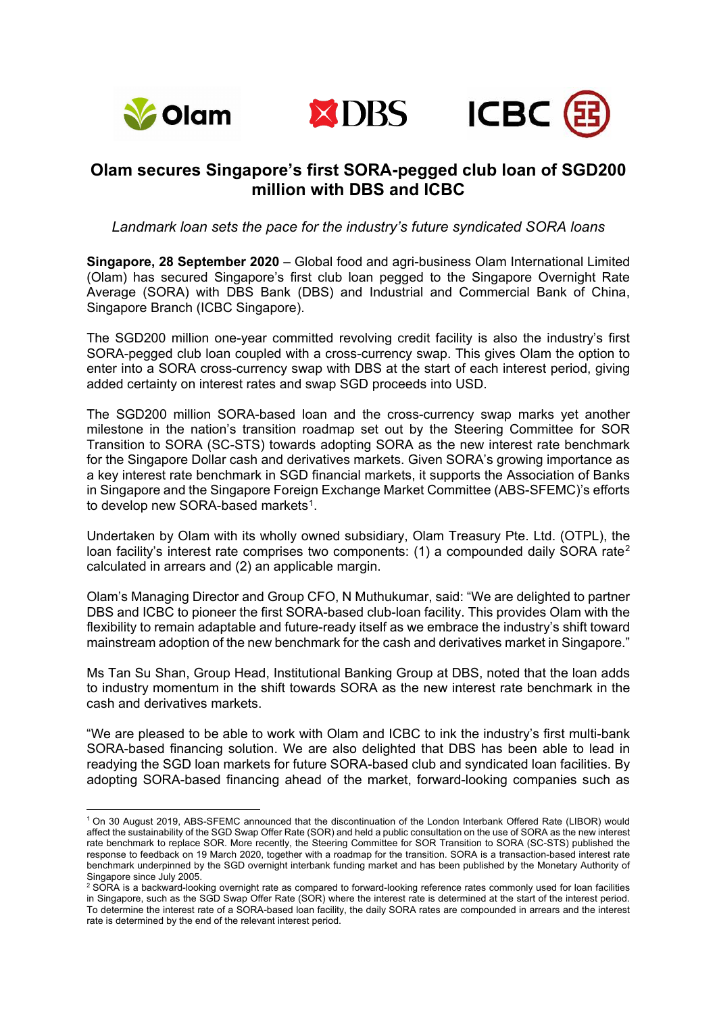

**.** 





## **Olam secures Singapore's first SORA-pegged club loan of SGD200 million with DBS and ICBC**

*Landmark loan sets the pace for the industry's future syndicated SORA loans*

**Singapore, 28 September 2020** – Global food and agri-business Olam International Limited (Olam) has secured Singapore's first club loan pegged to the Singapore Overnight Rate Average (SORA) with DBS Bank (DBS) and Industrial and Commercial Bank of China, Singapore Branch (ICBC Singapore).

The SGD200 million one-year committed revolving credit facility is also the industry's first SORA-pegged club loan coupled with a cross-currency swap. This gives Olam the option to enter into a SORA cross-currency swap with DBS at the start of each interest period, giving added certainty on interest rates and swap SGD proceeds into USD.

The SGD200 million SORA-based loan and the cross-currency swap marks yet another milestone in the nation's transition roadmap set out by the Steering Committee for SOR Transition to SORA (SC-STS) towards adopting SORA as the new interest rate benchmark for the Singapore Dollar cash and derivatives markets. Given SORA's growing importance as a key interest rate benchmark in SGD financial markets, it supports the Association of Banks in Singapore and the Singapore Foreign Exchange Market Committee (ABS-SFEMC)'s efforts to develop new SORA-based markets<sup>[1](#page-0-0)</sup>.

Undertaken by Olam with its wholly owned subsidiary, Olam Treasury Pte. Ltd. (OTPL), the loan facility's interest rate comprises two components:  $(1)$  a compounded daily SORA rate<sup>[2](#page-0-1)</sup> calculated in arrears and (2) an applicable margin.

Olam's Managing Director and Group CFO, N Muthukumar, said: "We are delighted to partner DBS and ICBC to pioneer the first SORA-based club-loan facility. This provides Olam with the flexibility to remain adaptable and future-ready itself as we embrace the industry's shift toward mainstream adoption of the new benchmark for the cash and derivatives market in Singapore."

Ms Tan Su Shan, Group Head, Institutional Banking Group at DBS, noted that the loan adds to industry momentum in the shift towards SORA as the new interest rate benchmark in the cash and derivatives markets.

"We are pleased to be able to work with Olam and ICBC to ink the industry's first multi-bank SORA-based financing solution. We are also delighted that DBS has been able to lead in readying the SGD loan markets for future SORA-based club and syndicated loan facilities. By adopting SORA-based financing ahead of the market, forward-looking companies such as

<span id="page-0-0"></span><sup>1</sup> On 30 August 2019, ABS-SFEMC announced that the discontinuation of the London Interbank Offered Rate (LIBOR) would affect the sustainability of the SGD Swap Offer Rate (SOR) and held a public consultation on the use of SORA as the new interest rate benchmark to replace SOR. More recently, the Steering Committee for SOR Transition to SORA (SC-STS) published the response to feedback on 19 March 2020, together with a roadmap for the transition. SORA is a transaction-based interest rate benchmark underpinned by the SGD overnight interbank funding market and has been published by the Monetary Authority of Singapore since July 2005.

<span id="page-0-1"></span><sup>&</sup>lt;sup>2</sup> SORA is a backward-looking overnight rate as compared to forward-looking reference rates commonly used for loan facilities in Singapore, such as the SGD Swap Offer Rate (SOR) where the interest rate is determined at the start of the interest period. To determine the interest rate of a SORA-based loan facility, the daily SORA rates are compounded in arrears and the interest rate is determined by the end of the relevant interest period.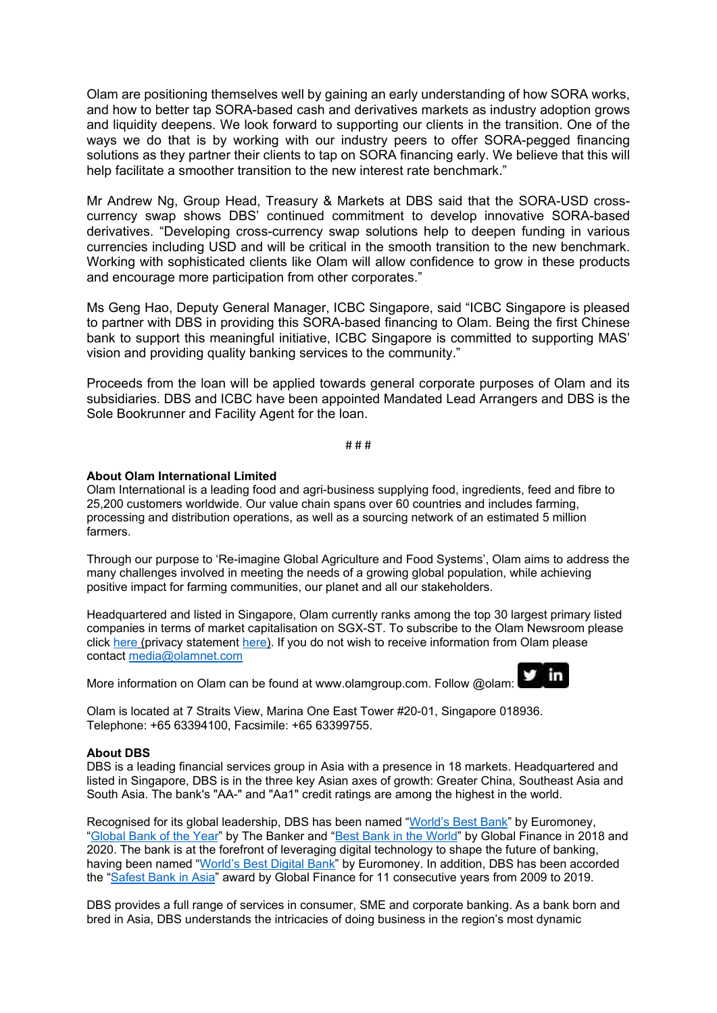Olam are positioning themselves well by gaining an early understanding of how SORA works, and how to better tap SORA-based cash and derivatives markets as industry adoption grows and liquidity deepens. We look forward to supporting our clients in the transition. One of the ways we do that is by working with our industry peers to offer SORA-pegged financing solutions as they partner their clients to tap on SORA financing early. We believe that this will help facilitate a smoother transition to the new interest rate benchmark."

Mr Andrew Ng, Group Head, Treasury & Markets at DBS said that the SORA-USD crosscurrency swap shows DBS' continued commitment to develop innovative SORA-based derivatives. "Developing cross-currency swap solutions help to deepen funding in various currencies including USD and will be critical in the smooth transition to the new benchmark. Working with sophisticated clients like Olam will allow confidence to grow in these products and encourage more participation from other corporates."

Ms Geng Hao, Deputy General Manager, ICBC Singapore, said "ICBC Singapore is pleased to partner with DBS in providing this SORA-based financing to Olam. Being the first Chinese bank to support this meaningful initiative, ICBC Singapore is committed to supporting MAS' vision and providing quality banking services to the community."

Proceeds from the loan will be applied towards general corporate purposes of Olam and its subsidiaries. DBS and ICBC have been appointed Mandated Lead Arrangers and DBS is the Sole Bookrunner and Facility Agent for the loan.

# # #

## **About Olam International Limited**

Olam International is a leading food and agri-business supplying food, ingredients, feed and fibre to 25,200 customers worldwide. Our value chain spans over 60 countries and includes farming, processing and distribution operations, as well as a sourcing network of an estimated 5 million farmers.

Through our purpose to 'Re-imagine Global Agriculture and Food Systems', Olam aims to address the many challenges involved in meeting the needs of a growing global population, while achieving positive impact for farming communities, our planet and all our stakeholders.

Headquartered and listed in Singapore, Olam currently ranks among the top 30 largest primary listed companies in terms of market capitalisation on SGX-ST. To subscribe to the Olam Newsroom please click [here](https://www.olamgroup.com/content/dam/olamgroup/investor-relations/ir-library/annual-reports/annual-reports-pdfs/GRI-Report-Olam-International-Ltd-2018.pdf) (privacy statement [here\)](https://www.olamgroup.com/privacy.html). If you do not wish to receive information from Olam please contact [media@olamnet.com](mailto:media@olamnet.com)

More information on Olam can be found at [www.olamgroup.com.](http://www.olamgroup.com/) Follow @olam:



Olam is located at 7 Straits View, Marina One East Tower #20-01, Singapore 018936. Telephone: +65 63394100, Facsimile: +65 63399755.

## **About DBS**

DBS is a leading financial services group in Asia with a presence in 18 markets. Headquartered and listed in Singapore, DBS is in the three key Asian axes of growth: Greater China, Southeast Asia and South Asia. The bank's "AA-" and "Aa1" credit ratings are among the highest in the world.

Recognised for its global leadership, DBS has been named ["World's Best Bank"](https://www.dbs.com/newsroom/DBS_named_Worlds_Best_Bank_by_Euromoney_magazine) by Euromoney, ["Global Bank of the Year"](https://www.dbs.com/newsroom/DBS_named_Global_Bank_of_the_Year) by The Banker and ["Best Bank in the World"](https://www.dbs.com/newsroom/DBS_named_Best_Bank_in_the_World) by Global Finance in 2018 and 2020. The bank is at the forefront of leveraging digital technology to shape the future of banking, having been named ["World's Best Digital Bank"](https://www.dbs.com/newsroom/DBS_named_Worlds_Best_Digital_Bank_2018) by Euromoney. In addition, DBS has been accorded the ["Safest Bank in Asia"](https://www.dbs.com/newsroom/DBS_named_Asias_Safest_Bank_for_11th_consecutive_year) award by Global Finance for 11 consecutive years from 2009 to 2019.

DBS provides a full range of services in consumer, SME and corporate banking. As a bank born and bred in Asia, DBS understands the intricacies of doing business in the region's most dynamic